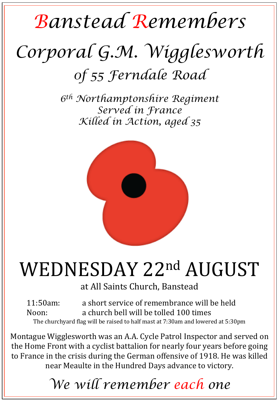## *Banstead Remembers Corporal G.M. Wigglesworth 0f 55 Ferndale Road*

*6th Northamptonshire Regiment Served in France Killed in Action, aged 35* 



## WEDNESDAY 22nd AUGUST

at All Saints Church, Banstead

11:50am: a short service of remembrance will be held Noon: a church bell will be tolled 100 times The churchyard flag will be raised to half mast at 7:30am and lowered at 5:30pm

Montague Wigglesworth was an A.A. Cycle Patrol Inspector and served on the Home Front with a cyclist battalion for nearly four years before going to France in the crisis during the German offensive of 1918. He was killed near Meaulte in the Hundred Days advance to victory.

*We will remember each one*